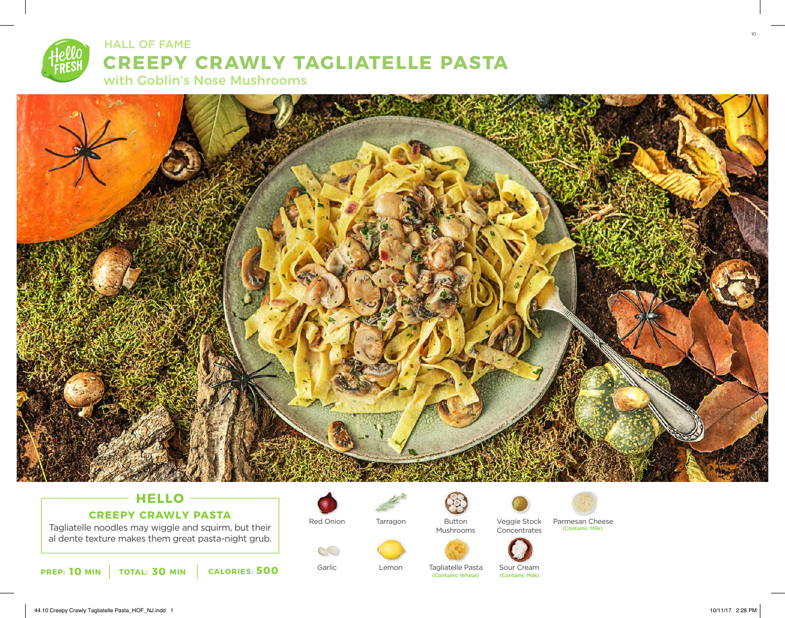



# **HELLO CREEPY CRAWLY PASTA**

Tagliatelle noodles may wiggle and squirm, but their al dente texture makes them great pasta-night grub.





Garlic

 $\infty$ 

Tarragon

Lemon



Mushrooms





Tagliatelle Pasta (Contains: Wheat)

Button Veggie Stock Parmesan Cheese (Contains: Milk)



Sour Cream<br>(Contains: Milk)



44.10 Creepy Crawly Tagliatelle Pasta\_HOF\_NJ.indd 1 10/11/17 2:28 PM

10